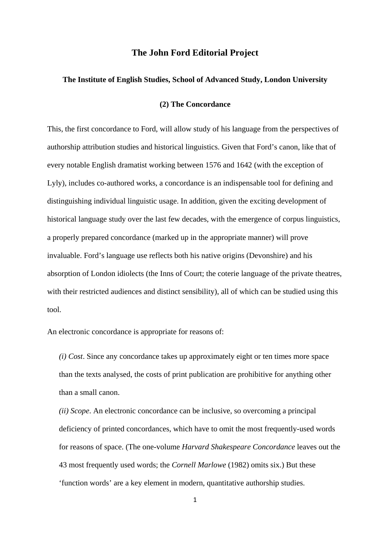## **The John Ford Editorial Project**

## **The Institute of English Studies, School of Advanced Study, London University**

## **(2) The Concordance**

This, the first concordance to Ford, will allow study of his language from the perspectives of authorship attribution studies and historical linguistics. Given that Ford's canon, like that of every notable English dramatist working between 1576 and 1642 (with the exception of Lyly), includes co-authored works, a concordance is an indispensable tool for defining and distinguishing individual linguistic usage. In addition, given the exciting development of historical language study over the last few decades, with the emergence of corpus linguistics, a properly prepared concordance (marked up in the appropriate manner) will prove invaluable. Ford's language use reflects both his native origins (Devonshire) and his absorption of London idiolects (the Inns of Court; the coterie language of the private theatres, with their restricted audiences and distinct sensibility), all of which can be studied using this tool.

An electronic concordance is appropriate for reasons of:

*(i) Cost*. Since any concordance takes up approximately eight or ten times more space than the texts analysed, the costs of print publication are prohibitive for anything other than a small canon.

*(ii) Scope*. An electronic concordance can be inclusive, so overcoming a principal deficiency of printed concordances, which have to omit the most frequently-used words for reasons of space. (The one-volume *Harvard Shakespeare Concordance* leaves out the 43 most frequently used words; the *Cornell Marlowe* (1982) omits six.) But these 'function words' are a key element in modern, quantitative authorship studies.